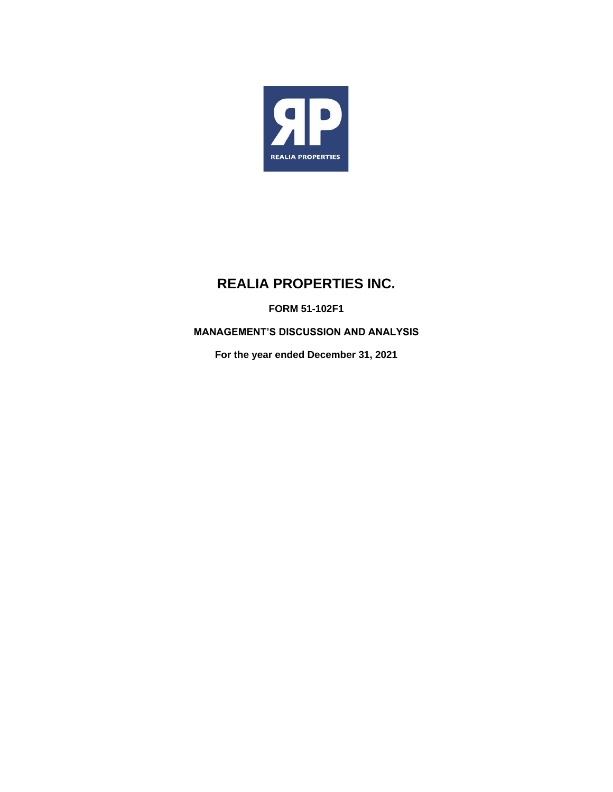

# **REALIA PROPERTIES INC.**

**FORM 51-102F1**

**MANAGEMENT'S DISCUSSION AND ANALYSIS**

**For the year ended December 31, 2021**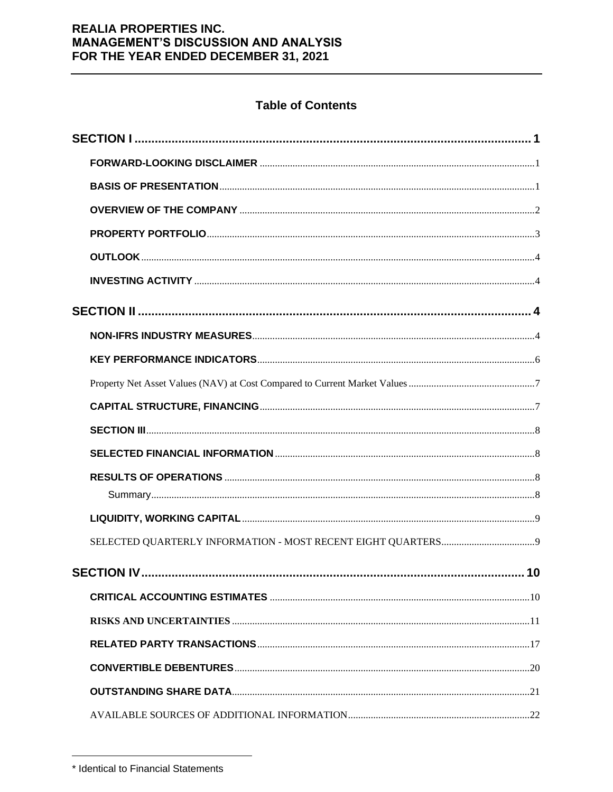# **Table of Contents**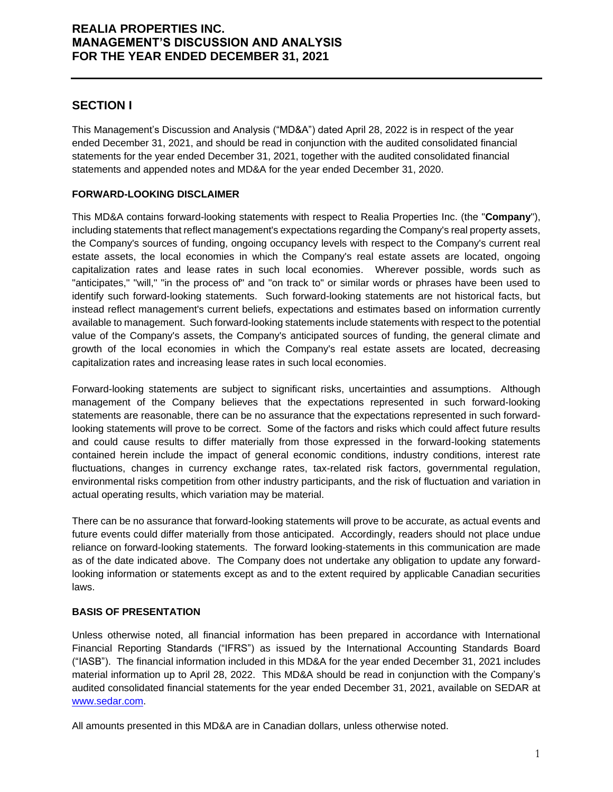# **SECTION I**

This Management's Discussion and Analysis ("MD&A") dated April 28, 2022 is in respect of the year ended December 31, 2021, and should be read in conjunction with the audited consolidated financial statements for the year ended December 31, 2021, together with the audited consolidated financial statements and appended notes and MD&A for the year ended December 31, 2020.

### **FORWARD-LOOKING DISCLAIMER**

This MD&A contains forward-looking statements with respect to Realia Properties Inc. (the "**Company**"), including statements that reflect management's expectations regarding the Company's real property assets, the Company's sources of funding, ongoing occupancy levels with respect to the Company's current real estate assets, the local economies in which the Company's real estate assets are located, ongoing capitalization rates and lease rates in such local economies. Wherever possible, words such as "anticipates," "will," "in the process of" and "on track to" or similar words or phrases have been used to identify such forward-looking statements. Such forward-looking statements are not historical facts, but instead reflect management's current beliefs, expectations and estimates based on information currently available to management. Such forward-looking statements include statements with respect to the potential value of the Company's assets, the Company's anticipated sources of funding, the general climate and growth of the local economies in which the Company's real estate assets are located, decreasing capitalization rates and increasing lease rates in such local economies.

Forward-looking statements are subject to significant risks, uncertainties and assumptions. Although management of the Company believes that the expectations represented in such forward-looking statements are reasonable, there can be no assurance that the expectations represented in such forwardlooking statements will prove to be correct. Some of the factors and risks which could affect future results and could cause results to differ materially from those expressed in the forward-looking statements contained herein include the impact of general economic conditions, industry conditions, interest rate fluctuations, changes in currency exchange rates, tax-related risk factors, governmental regulation, environmental risks competition from other industry participants, and the risk of fluctuation and variation in actual operating results, which variation may be material.

There can be no assurance that forward-looking statements will prove to be accurate, as actual events and future events could differ materially from those anticipated. Accordingly, readers should not place undue reliance on forward-looking statements. The forward looking-statements in this communication are made as of the date indicated above. The Company does not undertake any obligation to update any forwardlooking information or statements except as and to the extent required by applicable Canadian securities laws.

### **BASIS OF PRESENTATION**

Unless otherwise noted, all financial information has been prepared in accordance with International Financial Reporting Standards ("IFRS") as issued by the International Accounting Standards Board ("IASB"). The financial information included in this MD&A for the year ended December 31, 2021 includes material information up to April 28, 2022. This MD&A should be read in conjunction with the Company's audited consolidated financial statements for the year ended December 31, 2021, available on SEDAR at [www.sedar.com.](http://www.sedar.com/)

All amounts presented in this MD&A are in Canadian dollars, unless otherwise noted.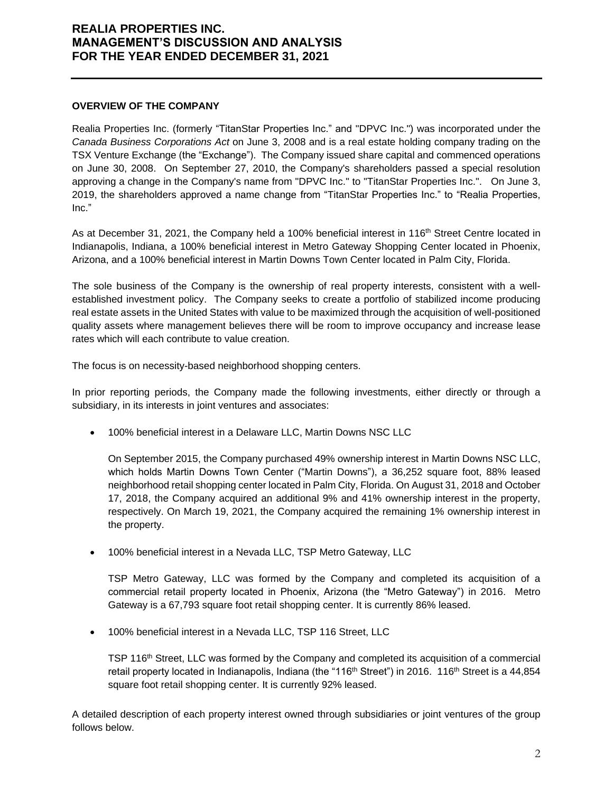#### **OVERVIEW OF THE COMPANY**

Realia Properties Inc. (formerly "TitanStar Properties Inc." and "DPVC Inc.") was incorporated under the *Canada Business Corporations Act* on June 3, 2008 and is a real estate holding company trading on the TSX Venture Exchange (the "Exchange"). The Company issued share capital and commenced operations on June 30, 2008. On September 27, 2010, the Company's shareholders passed a special resolution approving a change in the Company's name from "DPVC Inc." to "TitanStar Properties Inc.". On June 3, 2019, the shareholders approved a name change from "TitanStar Properties Inc." to "Realia Properties, Inc."

As at December 31, 2021, the Company held a 100% beneficial interest in 116<sup>th</sup> Street Centre located in Indianapolis, Indiana, a 100% beneficial interest in Metro Gateway Shopping Center located in Phoenix, Arizona, and a 100% beneficial interest in Martin Downs Town Center located in Palm City, Florida.

The sole business of the Company is the ownership of real property interests, consistent with a wellestablished investment policy. The Company seeks to create a portfolio of stabilized income producing real estate assets in the United States with value to be maximized through the acquisition of well-positioned quality assets where management believes there will be room to improve occupancy and increase lease rates which will each contribute to value creation.

The focus is on necessity-based neighborhood shopping centers.

In prior reporting periods, the Company made the following investments, either directly or through a subsidiary, in its interests in joint ventures and associates:

• 100% beneficial interest in a Delaware LLC, Martin Downs NSC LLC

On September 2015, the Company purchased 49% ownership interest in Martin Downs NSC LLC, which holds Martin Downs Town Center ("Martin Downs"), a 36,252 square foot, 88% leased neighborhood retail shopping center located in Palm City, Florida. On August 31, 2018 and October 17, 2018, the Company acquired an additional 9% and 41% ownership interest in the property, respectively. On March 19, 2021, the Company acquired the remaining 1% ownership interest in the property.

• 100% beneficial interest in a Nevada LLC, TSP Metro Gateway, LLC

TSP Metro Gateway, LLC was formed by the Company and completed its acquisition of a commercial retail property located in Phoenix, Arizona (the "Metro Gateway") in 2016. Metro Gateway is a 67,793 square foot retail shopping center. It is currently 86% leased.

• 100% beneficial interest in a Nevada LLC, TSP 116 Street, LLC

TSP 116<sup>th</sup> Street, LLC was formed by the Company and completed its acquisition of a commercial retail property located in Indianapolis, Indiana (the "116<sup>th</sup> Street") in 2016. 116<sup>th</sup> Street is a 44,854 square foot retail shopping center. It is currently 92% leased.

A detailed description of each property interest owned through subsidiaries or joint ventures of the group follows below.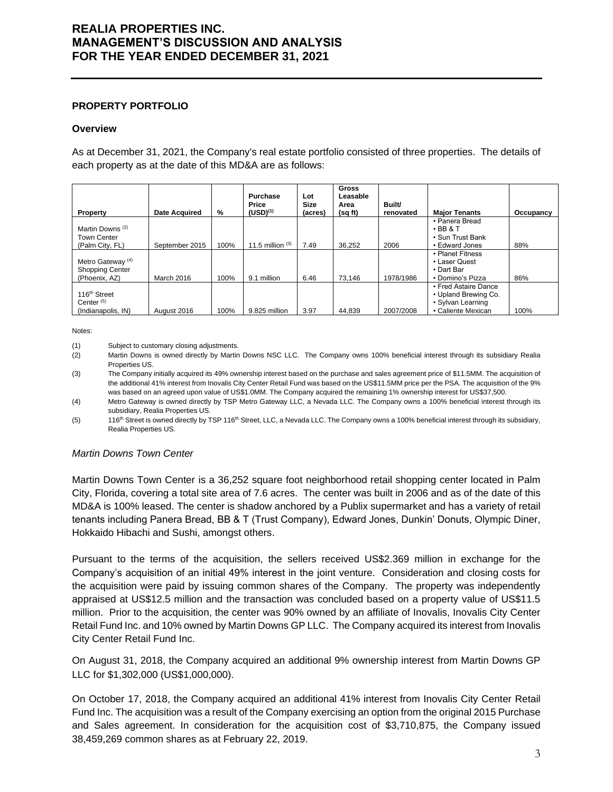#### **PROPERTY PORTFOLIO**

#### **Overview**

As at December 31, 2021, the Company's real estate portfolio consisted of three properties. The details of each property as at the date of this MD&A are as follows:

| Property                                                                | <b>Date Acquired</b> | %    | <b>Purchase</b><br>Price<br>$(USD)^{(1)}$ | Lot<br>Size<br>(acres) | <b>Gross</b><br>Leasable<br>Area<br>(sq ft) | Built/<br>renovated | <b>Maior Tenants</b>                                                                    | Occupancy |
|-------------------------------------------------------------------------|----------------------|------|-------------------------------------------|------------------------|---------------------------------------------|---------------------|-----------------------------------------------------------------------------------------|-----------|
| Martin Downs <sup>(2)</sup><br><b>Town Center</b><br>(Palm City, FL)    | September 2015       | 100% | 11.5 million $(3)$                        | 7.49                   | 36.252                                      | 2006                | • Panera Bread<br>$\cdot$ BB & T<br>• Sun Trust Bank<br>• Edward Jones                  | 88%       |
| Metro Gateway <sup>(4)</sup><br><b>Shopping Center</b><br>(Phoenix, AZ) | March 2016           | 100% | 9.1 million                               | 6.46                   | 73.146                                      | 1978/1986           | • Planet Fitness<br>• Laser Quest<br>• Dart Bar<br>• Domino's Pizza                     | 86%       |
| 116 <sup>th</sup> Street<br>Center $(5)$<br>(Indianapolis, IN)          | August 2016          | 100% | 9.825 million                             | 3.97                   | 44,839                                      | 2007/2008           | • Fred Astaire Dance<br>• Upland Brewing Co.<br>• Sylvan Learning<br>• Caliente Mexican | 100%      |

#### Notes:

(1) Subject to customary closing adjustments.

- (2) Martin Downs is owned directly by Martin Downs NSC LLC. The Company owns 100% beneficial interest through its subsidiary Realia Properties US.
- (3) The Company initially acquired its 49% ownership interest based on the purchase and sales agreement price of \$11.5MM. The acquisition of the additional 41% interest from Inovalis City Center Retail Fund was based on the US\$11.5MM price per the PSA. The acquisition of the 9% was based on an agreed upon value of US\$1.0MM. The Company acquired the remaining 1% ownership interest for US\$37,500.
- (4) Metro Gateway is owned directly by TSP Metro Gateway LLC, a Nevada LLC. The Company owns a 100% beneficial interest through its subsidiary, Realia Properties US.
- (5) 116<sup>th</sup> Street is owned directly by TSP 116<sup>th</sup> Street, LLC, a Nevada LLC. The Company owns a 100% beneficial interest through its subsidiary, Realia Properties US.

#### *Martin Downs Town Center*

Martin Downs Town Center is a 36,252 square foot neighborhood retail shopping center located in Palm City, Florida, covering a total site area of 7.6 acres. The center was built in 2006 and as of the date of this MD&A is 100% leased. The center is shadow anchored by a Publix supermarket and has a variety of retail tenants including Panera Bread, BB & T (Trust Company), Edward Jones, Dunkin' Donuts, Olympic Diner, Hokkaido Hibachi and Sushi, amongst others.

Pursuant to the terms of the acquisition, the sellers received US\$2.369 million in exchange for the Company's acquisition of an initial 49% interest in the joint venture. Consideration and closing costs for the acquisition were paid by issuing common shares of the Company. The property was independently appraised at US\$12.5 million and the transaction was concluded based on a property value of US\$11.5 million. Prior to the acquisition, the center was 90% owned by an affiliate of Inovalis, Inovalis City Center Retail Fund Inc. and 10% owned by Martin Downs GP LLC. The Company acquired its interest from Inovalis City Center Retail Fund Inc.

On August 31, 2018, the Company acquired an additional 9% ownership interest from Martin Downs GP LLC for \$1,302,000 (US\$1,000,000).

On October 17, 2018, the Company acquired an additional 41% interest from Inovalis City Center Retail Fund Inc. The acquisition was a result of the Company exercising an option from the original 2015 Purchase and Sales agreement. In consideration for the acquisition cost of \$3,710,875, the Company issued 38,459,269 common shares as at February 22, 2019.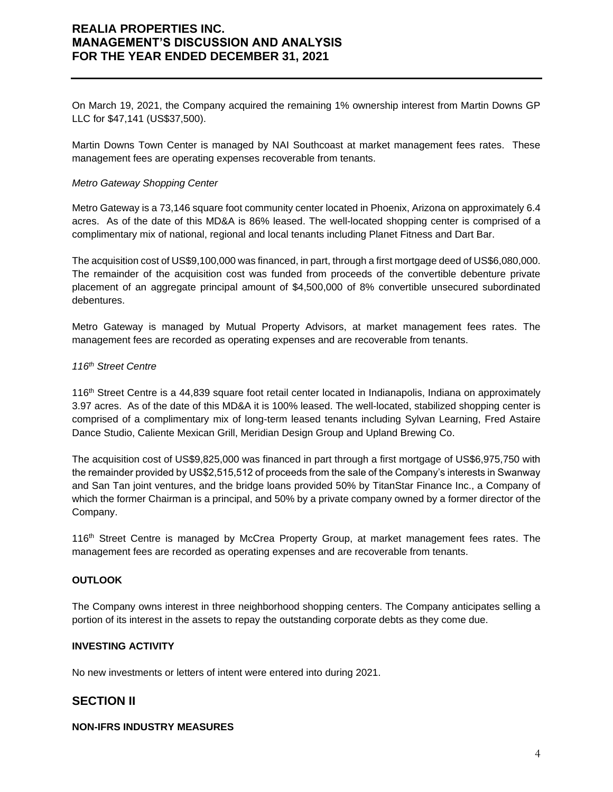On March 19, 2021, the Company acquired the remaining 1% ownership interest from Martin Downs GP LLC for \$47,141 (US\$37,500).

Martin Downs Town Center is managed by NAI Southcoast at market management fees rates. These management fees are operating expenses recoverable from tenants.

#### *Metro Gateway Shopping Center*

Metro Gateway is a 73,146 square foot community center located in Phoenix, Arizona on approximately 6.4 acres. As of the date of this MD&A is 86% leased. The well-located shopping center is comprised of a complimentary mix of national, regional and local tenants including Planet Fitness and Dart Bar.

The acquisition cost of US\$9,100,000 was financed, in part, through a first mortgage deed of US\$6,080,000. The remainder of the acquisition cost was funded from proceeds of the convertible debenture private placement of an aggregate principal amount of \$4,500,000 of 8% convertible unsecured subordinated debentures.

Metro Gateway is managed by Mutual Property Advisors, at market management fees rates. The management fees are recorded as operating expenses and are recoverable from tenants.

#### *116th Street Centre*

116th Street Centre is a 44,839 square foot retail center located in Indianapolis, Indiana on approximately 3.97 acres. As of the date of this MD&A it is 100% leased. The well-located, stabilized shopping center is comprised of a complimentary mix of long-term leased tenants including Sylvan Learning, Fred Astaire Dance Studio, Caliente Mexican Grill, Meridian Design Group and Upland Brewing Co.

The acquisition cost of US\$9,825,000 was financed in part through a first mortgage of US\$6,975,750 with the remainder provided by US\$2,515,512 of proceeds from the sale of the Company's interests in Swanway and San Tan joint ventures, and the bridge loans provided 50% by TitanStar Finance Inc., a Company of which the former Chairman is a principal, and 50% by a private company owned by a former director of the Company.

116th Street Centre is managed by McCrea Property Group, at market management fees rates. The management fees are recorded as operating expenses and are recoverable from tenants.

### **OUTLOOK**

The Company owns interest in three neighborhood shopping centers. The Company anticipates selling a portion of its interest in the assets to repay the outstanding corporate debts as they come due.

#### **INVESTING ACTIVITY**

No new investments or letters of intent were entered into during 2021.

### **SECTION II**

### **NON-IFRS INDUSTRY MEASURES**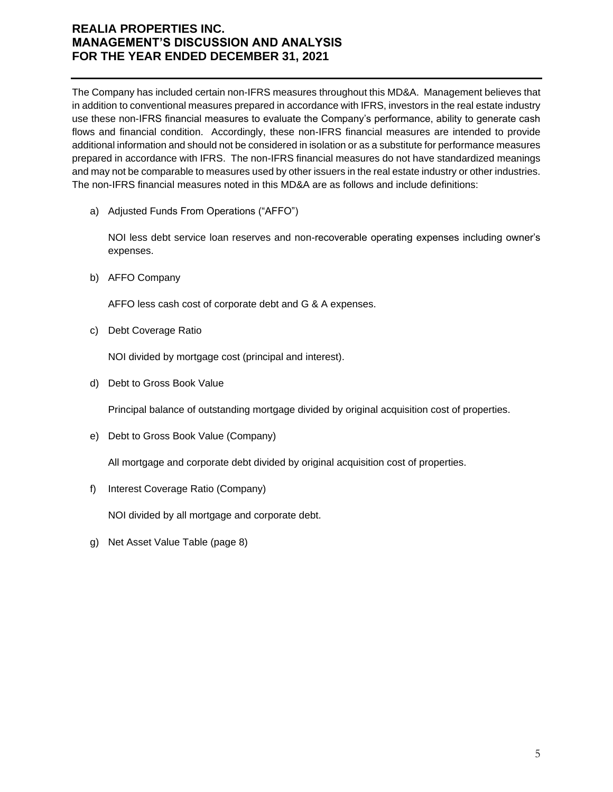The Company has included certain non-IFRS measures throughout this MD&A. Management believes that in addition to conventional measures prepared in accordance with IFRS, investors in the real estate industry use these non-IFRS financial measures to evaluate the Company's performance, ability to generate cash flows and financial condition. Accordingly, these non-IFRS financial measures are intended to provide additional information and should not be considered in isolation or as a substitute for performance measures prepared in accordance with IFRS. The non-IFRS financial measures do not have standardized meanings and may not be comparable to measures used by other issuers in the real estate industry or other industries. The non-IFRS financial measures noted in this MD&A are as follows and include definitions:

a) Adjusted Funds From Operations ("AFFO")

NOI less debt service loan reserves and non-recoverable operating expenses including owner's expenses.

b) AFFO Company

AFFO less cash cost of corporate debt and G & A expenses.

c) Debt Coverage Ratio

NOI divided by mortgage cost (principal and interest).

d) Debt to Gross Book Value

Principal balance of outstanding mortgage divided by original acquisition cost of properties.

e) Debt to Gross Book Value (Company)

All mortgage and corporate debt divided by original acquisition cost of properties.

f) Interest Coverage Ratio (Company)

NOI divided by all mortgage and corporate debt.

g) Net Asset Value Table (page 8)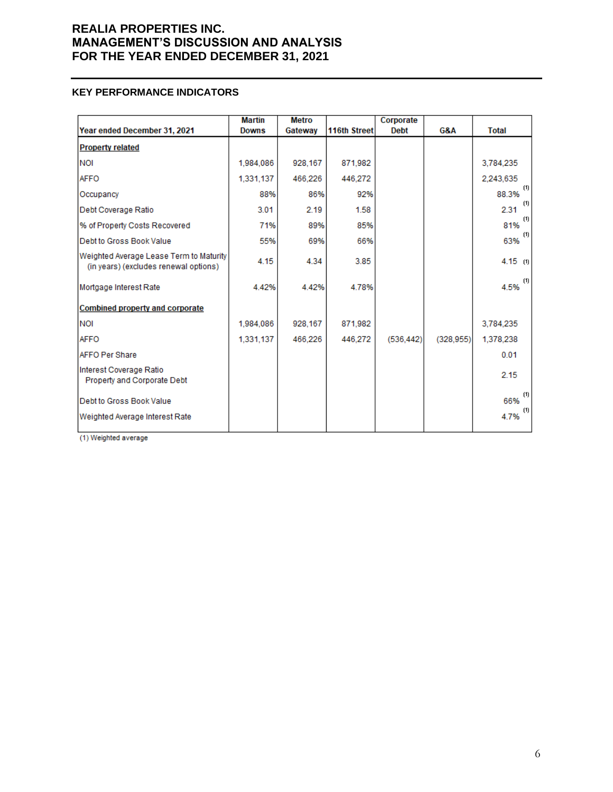### **KEY PERFORMANCE INDICATORS**

|                                                                                  | <b>Martin</b> | <b>Metro</b> |              | Corporate   |           |              |
|----------------------------------------------------------------------------------|---------------|--------------|--------------|-------------|-----------|--------------|
| Year ended December 31, 2021                                                     | <b>Downs</b>  | Gateway      | 116th Street | <b>Debt</b> | G&A       | <b>Total</b> |
| <b>Property related</b>                                                          |               |              |              |             |           |              |
| <b>NOI</b>                                                                       | 1,984,086     | 928,167      | 871,982      |             |           | 3,784,235    |
| <b>AFFO</b>                                                                      | 1,331,137     | 466,226      | 446.272      |             |           | 2.243,635    |
| Occupancy                                                                        | 88%           | 86%          | 92%          |             |           | (1)<br>88.3% |
| Debt Coverage Ratio                                                              | 3.01          | 2.19         | 1.58         |             |           | (1)<br>2.31  |
| % of Property Costs Recovered                                                    | 71%           | 89%          | 85%          |             |           | (1)<br>81%   |
| Debt to Gross Book Value                                                         | 55%           | 69%          | 66%          |             |           | (1)<br>63%   |
| Weighted Average Lease Term to Maturity<br>(in years) (excludes renewal options) | 4.15          | 4.34         | 3.85         |             |           | 4.15 $(1)$   |
| Mortgage Interest Rate                                                           | 4.42%         | 4.42%        | 4.78%        |             |           | (1)<br>4.5%  |
| <b>Combined property and corporate</b>                                           |               |              |              |             |           |              |
| <b>NOI</b>                                                                       | 1.984.086     | 928,167      | 871,982      |             |           | 3,784,235    |
| <b>AFFO</b>                                                                      | 1.331.137     | 466.226      | 446.272      | (536.442)   | (328.955) | 1,378,238    |
| <b>AFFO Per Share</b>                                                            |               |              |              |             |           | 0.01         |
| Interest Coverage Ratio<br>Property and Corporate Debt                           |               |              |              |             |           | 2.15         |
| Debt to Gross Book Value                                                         |               |              |              |             |           | (1)<br>66%   |
| Weighted Average Interest Rate                                                   |               |              |              |             |           | (1)<br>4.7%  |

(1) Weighted average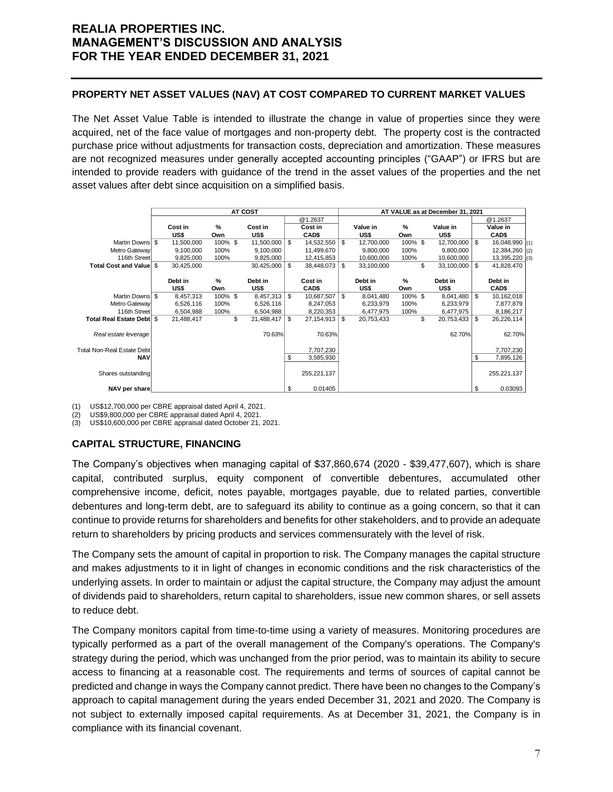### **PROPERTY NET ASSET VALUES (NAV) AT COST COMPARED TO CURRENT MARKET VALUES**

The Net Asset Value Table is intended to illustrate the change in value of properties since they were acquired, net of the face value of mortgages and non-property debt. The property cost is the contracted purchase price without adjustments for transaction costs, depreciation and amortization. These measures are not recognized measures under generally accepted accounting principles ("GAAP") or IFRS but are intended to provide readers with guidance of the trend in the asset values of the properties and the net asset values after debt since acquisition on a simplified basis.

|                                                                                                                                                                                                                                                                                                                                                                                                                                                                                                                                                                                                                                                                                                                                                                                                                                                                                                                                                                                                                                                                                                                                                   | <b>AT COST</b>                |                 |                         |    | AT VALUE as at December 31, 2021 |    |                         |                 |    |                         |    |                          |            |
|---------------------------------------------------------------------------------------------------------------------------------------------------------------------------------------------------------------------------------------------------------------------------------------------------------------------------------------------------------------------------------------------------------------------------------------------------------------------------------------------------------------------------------------------------------------------------------------------------------------------------------------------------------------------------------------------------------------------------------------------------------------------------------------------------------------------------------------------------------------------------------------------------------------------------------------------------------------------------------------------------------------------------------------------------------------------------------------------------------------------------------------------------|-------------------------------|-----------------|-------------------------|----|----------------------------------|----|-------------------------|-----------------|----|-------------------------|----|--------------------------|------------|
|                                                                                                                                                                                                                                                                                                                                                                                                                                                                                                                                                                                                                                                                                                                                                                                                                                                                                                                                                                                                                                                                                                                                                   | Cost in                       | %               | Cost in                 |    | @1.2637<br>Cost in               |    | Value in                | %               |    | Value in                |    | @1.2637<br>Value in      |            |
|                                                                                                                                                                                                                                                                                                                                                                                                                                                                                                                                                                                                                                                                                                                                                                                                                                                                                                                                                                                                                                                                                                                                                   | US\$                          | Own             | US\$                    |    | CAD\$                            |    | US\$                    | Own             |    | US\$                    |    | CAD\$                    |            |
| Martin Downs<br>Metro Gateway                                                                                                                                                                                                                                                                                                                                                                                                                                                                                                                                                                                                                                                                                                                                                                                                                                                                                                                                                                                                                                                                                                                     | 11,500,000<br>\$<br>9,100,000 | 100% \$<br>100% | 11,500,000<br>9,100,000 | \$ | 14,532,550<br>11,499,670         | \$ | 12,700,000<br>9,800,000 | 100% \$<br>100% |    | 12,700,000<br>9,800,000 | \$ | 16,048,990<br>12,384,260 | (1)<br>(2) |
| 116th Street                                                                                                                                                                                                                                                                                                                                                                                                                                                                                                                                                                                                                                                                                                                                                                                                                                                                                                                                                                                                                                                                                                                                      | 9,825,000                     | 100%            | 9,825,000               |    | 12,415,853                       |    | 10,600,000              | 100%            |    | 10,600,000              |    | 13,395,220               | (3)        |
| Total Cost and Value \$                                                                                                                                                                                                                                                                                                                                                                                                                                                                                                                                                                                                                                                                                                                                                                                                                                                                                                                                                                                                                                                                                                                           | 30,425,000                    |                 | 30,425,000              | \$ | 38,448,073                       | \$ | 33,100,000              |                 | \$ | 33,100,000              | \$ | 41,828,470               |            |
|                                                                                                                                                                                                                                                                                                                                                                                                                                                                                                                                                                                                                                                                                                                                                                                                                                                                                                                                                                                                                                                                                                                                                   | Debt in                       | %               | Debt in                 |    | Cost in                          |    | Debt in                 | %               |    | Debt in                 |    | Debt in                  |            |
|                                                                                                                                                                                                                                                                                                                                                                                                                                                                                                                                                                                                                                                                                                                                                                                                                                                                                                                                                                                                                                                                                                                                                   | US\$                          | Own             | US\$                    |    | CAD\$                            |    | US\$                    | Own             |    | US\$                    |    | <b>CAD\$</b>             |            |
| Martin Downs \$                                                                                                                                                                                                                                                                                                                                                                                                                                                                                                                                                                                                                                                                                                                                                                                                                                                                                                                                                                                                                                                                                                                                   | 8,457,313                     | 100% \$         | 8,457,313               | \$ | 10,687,507                       | \$ | 8,041,480               | 100% \$         |    | 8,041,480               | \$ | 10,162,018               |            |
| Metro Gateway                                                                                                                                                                                                                                                                                                                                                                                                                                                                                                                                                                                                                                                                                                                                                                                                                                                                                                                                                                                                                                                                                                                                     | 6,526,116                     | 100%            | 6,526,116               |    | 8,247,053                        |    | 6,233,979               | 100%            |    | 6,233,979               |    | 7,877,879                |            |
| 116th Street                                                                                                                                                                                                                                                                                                                                                                                                                                                                                                                                                                                                                                                                                                                                                                                                                                                                                                                                                                                                                                                                                                                                      | 6,504,988                     | 100%            | 6,504,988               |    | 8,220,353                        |    | 6,477,975               | 100%            |    | 6,477,975               |    | 8,186,217                |            |
| Total Real Estate Debt \$                                                                                                                                                                                                                                                                                                                                                                                                                                                                                                                                                                                                                                                                                                                                                                                                                                                                                                                                                                                                                                                                                                                         | 21,488,417                    | \$              | 21,488,417              | \$ | 27,154,913                       | \$ | 20,753,433              |                 | \$ | 20,753,433              | \$ | 26,226,114               |            |
| Real estate leverage                                                                                                                                                                                                                                                                                                                                                                                                                                                                                                                                                                                                                                                                                                                                                                                                                                                                                                                                                                                                                                                                                                                              |                               |                 | 70.63%                  |    | 70.63%                           |    |                         |                 |    | 62.70%                  |    | 62.70%                   |            |
| <b>Total Non-Real Estate Debt</b>                                                                                                                                                                                                                                                                                                                                                                                                                                                                                                                                                                                                                                                                                                                                                                                                                                                                                                                                                                                                                                                                                                                 |                               |                 |                         |    | 7,707,230                        |    |                         |                 |    |                         |    | 7,707,230                |            |
| <b>NAV</b>                                                                                                                                                                                                                                                                                                                                                                                                                                                                                                                                                                                                                                                                                                                                                                                                                                                                                                                                                                                                                                                                                                                                        |                               |                 |                         | \$ | 3,585,930                        |    |                         |                 |    |                         | \$ | 7,895,126                |            |
|                                                                                                                                                                                                                                                                                                                                                                                                                                                                                                                                                                                                                                                                                                                                                                                                                                                                                                                                                                                                                                                                                                                                                   |                               |                 |                         |    |                                  |    |                         |                 |    |                         |    |                          |            |
| Shares outstanding                                                                                                                                                                                                                                                                                                                                                                                                                                                                                                                                                                                                                                                                                                                                                                                                                                                                                                                                                                                                                                                                                                                                |                               |                 |                         |    | 255,221,137                      |    |                         |                 |    |                         |    | 255,221,137              |            |
| NAV per share                                                                                                                                                                                                                                                                                                                                                                                                                                                                                                                                                                                                                                                                                                                                                                                                                                                                                                                                                                                                                                                                                                                                     |                               |                 |                         | \$ | 0.01405                          |    |                         |                 |    |                         | \$ | 0.03093                  |            |
| <b>CAPITAL STRUCTURE, FINANCING</b><br>The Company's objectives when managing capital of \$37,860,674 (2020 - \$39,477,607), which is shai<br>contributed surplus, equity component of convertible debentures, accumulated other<br>capital,<br>comprehensive income, deficit, notes payable, mortgages payable, due to related parties, convertib<br>debentures and long-term debt, are to safeguard its ability to continue as a going concern, so that it ca<br>continue to provide returns for shareholders and benefits for other stakeholders, and to provide an adequa<br>return to shareholders by pricing products and services commensurately with the level of risk.<br>The Company sets the amount of capital in proportion to risk. The Company manages the capital structui<br>and makes adjustments to it in light of changes in economic conditions and the risk characteristics of th<br>underlying assets. In order to maintain or adjust the capital structure, the Company may adjust the amou<br>of dividends paid to shareholders, return capital to shareholders, issue new common shares, or sell asse<br>to reduce debt. |                               |                 |                         |    |                                  |    |                         |                 |    |                         |    |                          |            |
| The Company monitors capital from time-to-time using a variety of measures. Monitoring procedures ar<br>typically performed as a part of the overall management of the Company's operations. The Company<br>strategy during the period, which was unchanged from the prior period, was to maintain its ability to secui<br>access to financing at a reasonable cost. The requirements and terms of sources of capital cannot b<br>predicted and change in ways the Company cannot predict. There have been no changes to the Company<br>approach to capital management during the years ended December 31, 2021 and 2020. The Company<br>not subject to externally imposed capital requirements. As at December 31, 2021, the Company is<br>compliance with its financial covenant.                                                                                                                                                                                                                                                                                                                                                               |                               |                 |                         |    |                                  |    |                         |                 |    |                         |    |                          |            |

### **CAPITAL STRUCTURE, FINANCING**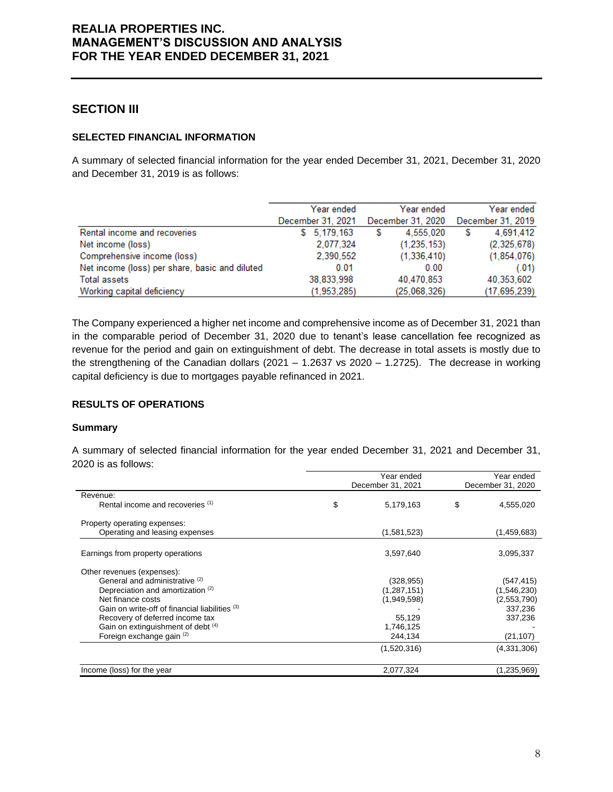### **SECTION III**

#### **SELECTED FINANCIAL INFORMATION**

A summary of selected financial information for the year ended December 31, 2021, December 31, 2020 and December 31, 2019 is as follows:

|                                                | Year ended        | Year ended        | Year ended        |
|------------------------------------------------|-------------------|-------------------|-------------------|
|                                                | December 31, 2021 | December 31, 2020 | December 31, 2019 |
| Rental income and recoveries                   | \$5,179,163       | 4,555,020<br>S    | 4,691,412<br>S    |
| Net income (loss)                              | 2,077,324         | (1, 235, 153)     | (2,325,678)       |
| Comprehensive income (loss)                    | 2.390.552         | (1,336,410)       | (1, 854, 076)     |
| Net income (loss) per share, basic and diluted | 0.01              | 0.00              | (.01)             |
| <b>Total assets</b>                            | 38,833,998        | 40,470,853        | 40,353,602        |
| Working capital deficiency                     | (1.953.285)       | (25,068,326)      | (17, 695, 239)    |

The Company experienced a higher net income and comprehensive income as of December 31, 2021 than in the comparable period of December 31, 2020 due to tenant's lease cancellation fee recognized as revenue for the period and gain on extinguishment of debt. The decrease in total assets is mostly due to the strengthening of the Canadian dollars (2021 – 1.2637 vs 2020 – 1.2725). The decrease in working capital deficiency is due to mortgages payable refinanced in 2021.

### **RESULTS OF OPERATIONS**

#### **Summary**

A summary of selected financial information for the year ended December 31, 2021 and December 31, 2020 is as follows:

|                                                | Year ended        | Year ended        |
|------------------------------------------------|-------------------|-------------------|
|                                                | December 31, 2021 | December 31, 2020 |
| Revenue:                                       |                   |                   |
| Rental income and recoveries (1)               | \$<br>5,179,163   | \$<br>4,555,020   |
| Property operating expenses:                   |                   |                   |
| Operating and leasing expenses                 | (1,581,523)       | (1,459,683)       |
| Earnings from property operations              | 3,597,640         | 3,095,337         |
| Other revenues (expenses):                     |                   |                   |
| General and administrative (2)                 | (328,955)         | (547, 415)        |
| Depreciation and amortization (2)              | (1, 287, 151)     | (1,546,230)       |
| Net finance costs                              | (1,949,598)       | (2,553,790)       |
| Gain on write-off of financial liabilities (3) |                   | 337,236           |
| Recovery of deferred income tax                | 55,129            | 337,236           |
| Gain on extinguishment of debt (4)             | 1,746,125         |                   |
| Foreign exchange gain (2)                      | 244,134           | (21, 107)         |
|                                                | (1,520,316)       | (4,331,306)       |
| Income (loss) for the year                     | 2,077,324         | (1,235,969)       |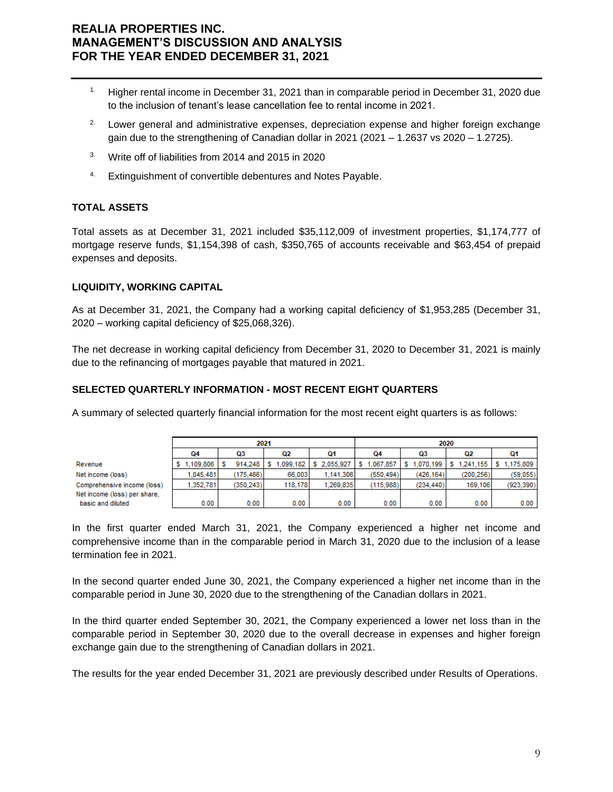- <sup>1.</sup> Higher rental income in December 31, 2021 than in comparable period in December 31, 2020 due to the inclusion of tenant's lease cancellation fee to rental income in 2021.
- <sup>2.</sup> Lower general and administrative expenses, depreciation expense and higher foreign exchange gain due to the strengthening of Canadian dollar in 2021 (2021 – 1.2637 vs 2020 – 1.2725).
- <sup>3.</sup> Write off of liabilities from 2014 and 2015 in 2020
- 4. Extinguishment of convertible debentures and Notes Payable.

### **TOTAL ASSETS**

Total assets as at December 31, 2021 included \$35,112,009 of investment properties, \$1,174,777 of mortgage reserve funds, \$1,154,398 of cash, \$350,765 of accounts receivable and \$63,454 of prepaid expenses and deposits.

### **LIQUIDITY, WORKING CAPITAL**

As at December 31, 2021, the Company had a working capital deficiency of \$1,953,285 (December 31, 2020 – working capital deficiency of \$25,068,326).

The net decrease in working capital deficiency from December 31, 2020 to December 31, 2021 is mainly due to the refinancing of mortgages payable that matured in 2021.

### **SELECTED QUARTERLY INFORMATION - MOST RECENT EIGHT QUARTERS**

A summary of selected quarterly financial information for the most recent eight quarters is as follows:

|                              |           |           | 2021      |           | 2020      |                |           |            |
|------------------------------|-----------|-----------|-----------|-----------|-----------|----------------|-----------|------------|
|                              | 04        | Q3        | Q2        | О1        | Ω4        | Q3             | Q2        | Q1         |
| Revenue                      | 1.109.806 | 914.248   | 1.099.182 | 2.055.927 | .067.857  | 1.070.199<br>s | 1.241.155 | 1.175.809  |
| Net income (loss)            | 1.045.481 | (175.466) | 66,003    | 1.141.306 | (550.494) | (426.164)      | (200.256) | (59.055)   |
| Comprehensive income (loss)  | 1.352.781 | (350.243) | 118,178   | 1.269.835 | (115.988) | (234.440)      | 169.106   | (923, 390) |
| Net income (loss) per share. |           |           |           |           |           |                |           |            |
| basic and diluted            | 0.00      | 0.00      | 0.00      | 0.00      | 0.00      | 0.00           | 0.00      | 0.00       |

In the first quarter ended March 31, 2021, the Company experienced a higher net income and comprehensive income than in the comparable period in March 31, 2020 due to the inclusion of a lease termination fee in 2021.

In the second quarter ended June 30, 2021, the Company experienced a higher net income than in the comparable period in June 30, 2020 due to the strengthening of the Canadian dollars in 2021.

In the third quarter ended September 30, 2021, the Company experienced a lower net loss than in the comparable period in September 30, 2020 due to the overall decrease in expenses and higher foreign exchange gain due to the strengthening of Canadian dollars in 2021.

The results for the year ended December 31, 2021 are previously described under Results of Operations.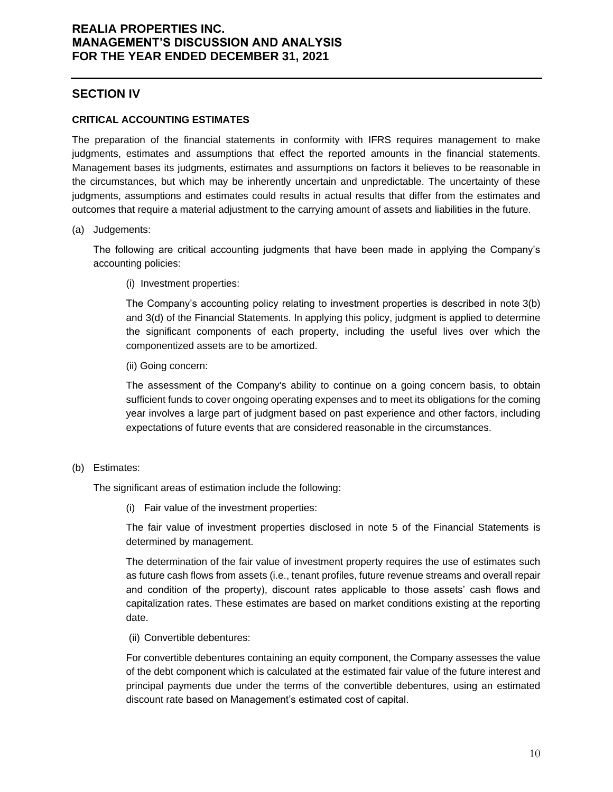### **SECTION IV**

### **CRITICAL ACCOUNTING ESTIMATES**

The preparation of the financial statements in conformity with IFRS requires management to make judgments, estimates and assumptions that effect the reported amounts in the financial statements. Management bases its judgments, estimates and assumptions on factors it believes to be reasonable in the circumstances, but which may be inherently uncertain and unpredictable. The uncertainty of these judgments, assumptions and estimates could results in actual results that differ from the estimates and outcomes that require a material adjustment to the carrying amount of assets and liabilities in the future.

#### (a) Judgements:

The following are critical accounting judgments that have been made in applying the Company's accounting policies:

(i) Investment properties:

The Company's accounting policy relating to investment properties is described in note 3(b) and 3(d) of the Financial Statements. In applying this policy, judgment is applied to determine the significant components of each property, including the useful lives over which the componentized assets are to be amortized.

(ii) Going concern:

The assessment of the Company's ability to continue on a going concern basis, to obtain sufficient funds to cover ongoing operating expenses and to meet its obligations for the coming year involves a large part of judgment based on past experience and other factors, including expectations of future events that are considered reasonable in the circumstances.

### (b) Estimates:

The significant areas of estimation include the following:

(i) Fair value of the investment properties:

The fair value of investment properties disclosed in note 5 of the Financial Statements is determined by management.

The determination of the fair value of investment property requires the use of estimates such as future cash flows from assets (i.e., tenant profiles, future revenue streams and overall repair and condition of the property), discount rates applicable to those assets' cash flows and capitalization rates. These estimates are based on market conditions existing at the reporting date.

(ii) Convertible debentures:

For convertible debentures containing an equity component, the Company assesses the value of the debt component which is calculated at the estimated fair value of the future interest and principal payments due under the terms of the convertible debentures, using an estimated discount rate based on Management's estimated cost of capital.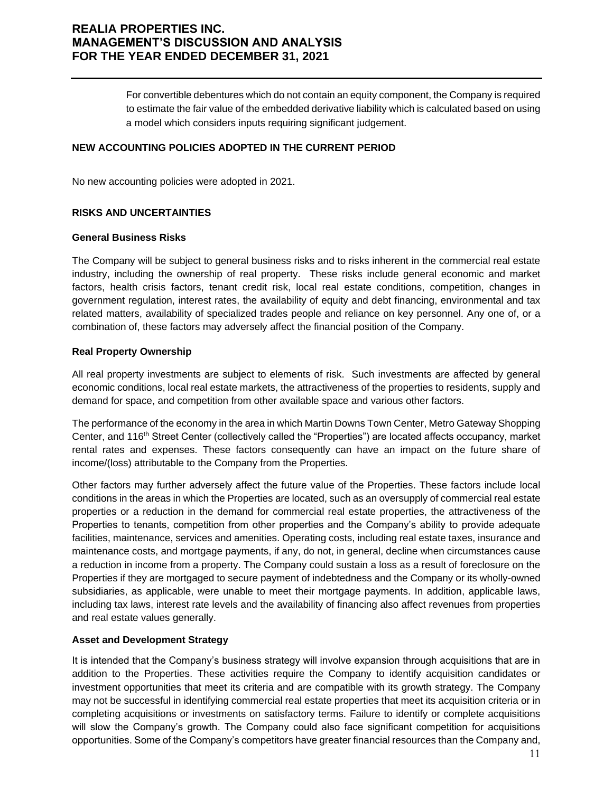For convertible debentures which do not contain an equity component, the Company is required to estimate the fair value of the embedded derivative liability which is calculated based on using a model which considers inputs requiring significant judgement.

#### **NEW ACCOUNTING POLICIES ADOPTED IN THE CURRENT PERIOD**

No new accounting policies were adopted in 2021.

#### **RISKS AND UNCERTAINTIES**

#### **General Business Risks**

The Company will be subject to general business risks and to risks inherent in the commercial real estate industry, including the ownership of real property. These risks include general economic and market factors, health crisis factors, tenant credit risk, local real estate conditions, competition, changes in government regulation, interest rates, the availability of equity and debt financing, environmental and tax related matters, availability of specialized trades people and reliance on key personnel. Any one of, or a combination of, these factors may adversely affect the financial position of the Company.

#### **Real Property Ownership**

All real property investments are subject to elements of risk. Such investments are affected by general economic conditions, local real estate markets, the attractiveness of the properties to residents, supply and demand for space, and competition from other available space and various other factors.

The performance of the economy in the area in which Martin Downs Town Center, Metro Gateway Shopping Center, and 116th Street Center (collectively called the "Properties") are located affects occupancy, market rental rates and expenses. These factors consequently can have an impact on the future share of income/(loss) attributable to the Company from the Properties.

Other factors may further adversely affect the future value of the Properties. These factors include local conditions in the areas in which the Properties are located, such as an oversupply of commercial real estate properties or a reduction in the demand for commercial real estate properties, the attractiveness of the Properties to tenants, competition from other properties and the Company's ability to provide adequate facilities, maintenance, services and amenities. Operating costs, including real estate taxes, insurance and maintenance costs, and mortgage payments, if any, do not, in general, decline when circumstances cause a reduction in income from a property. The Company could sustain a loss as a result of foreclosure on the Properties if they are mortgaged to secure payment of indebtedness and the Company or its wholly-owned subsidiaries, as applicable, were unable to meet their mortgage payments. In addition, applicable laws, including tax laws, interest rate levels and the availability of financing also affect revenues from properties and real estate values generally.

### **Asset and Development Strategy**

It is intended that the Company's business strategy will involve expansion through acquisitions that are in addition to the Properties. These activities require the Company to identify acquisition candidates or investment opportunities that meet its criteria and are compatible with its growth strategy. The Company may not be successful in identifying commercial real estate properties that meet its acquisition criteria or in completing acquisitions or investments on satisfactory terms. Failure to identify or complete acquisitions will slow the Company's growth. The Company could also face significant competition for acquisitions opportunities. Some of the Company's competitors have greater financial resources than the Company and,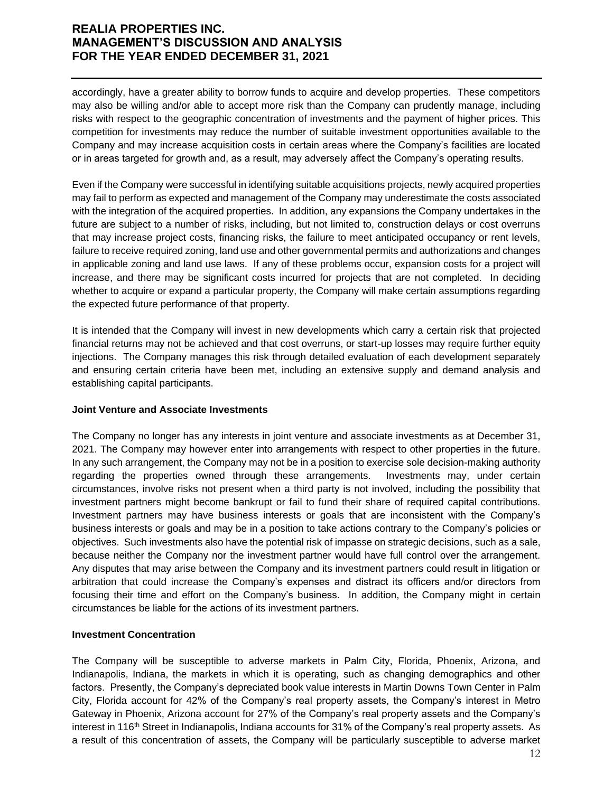accordingly, have a greater ability to borrow funds to acquire and develop properties. These competitors may also be willing and/or able to accept more risk than the Company can prudently manage, including risks with respect to the geographic concentration of investments and the payment of higher prices. This competition for investments may reduce the number of suitable investment opportunities available to the Company and may increase acquisition costs in certain areas where the Company's facilities are located or in areas targeted for growth and, as a result, may adversely affect the Company's operating results.

Even if the Company were successful in identifying suitable acquisitions projects, newly acquired properties may fail to perform as expected and management of the Company may underestimate the costs associated with the integration of the acquired properties. In addition, any expansions the Company undertakes in the future are subject to a number of risks, including, but not limited to, construction delays or cost overruns that may increase project costs, financing risks, the failure to meet anticipated occupancy or rent levels, failure to receive required zoning, land use and other governmental permits and authorizations and changes in applicable zoning and land use laws. If any of these problems occur, expansion costs for a project will increase, and there may be significant costs incurred for projects that are not completed. In deciding whether to acquire or expand a particular property, the Company will make certain assumptions regarding the expected future performance of that property.

It is intended that the Company will invest in new developments which carry a certain risk that projected financial returns may not be achieved and that cost overruns, or start-up losses may require further equity injections. The Company manages this risk through detailed evaluation of each development separately and ensuring certain criteria have been met, including an extensive supply and demand analysis and establishing capital participants.

### **Joint Venture and Associate Investments**

The Company no longer has any interests in joint venture and associate investments as at December 31, 2021. The Company may however enter into arrangements with respect to other properties in the future. In any such arrangement, the Company may not be in a position to exercise sole decision-making authority regarding the properties owned through these arrangements. Investments may, under certain circumstances, involve risks not present when a third party is not involved, including the possibility that investment partners might become bankrupt or fail to fund their share of required capital contributions. Investment partners may have business interests or goals that are inconsistent with the Company's business interests or goals and may be in a position to take actions contrary to the Company's policies or objectives. Such investments also have the potential risk of impasse on strategic decisions, such as a sale, because neither the Company nor the investment partner would have full control over the arrangement. Any disputes that may arise between the Company and its investment partners could result in litigation or arbitration that could increase the Company's expenses and distract its officers and/or directors from focusing their time and effort on the Company's business. In addition, the Company might in certain circumstances be liable for the actions of its investment partners.

### **Investment Concentration**

The Company will be susceptible to adverse markets in Palm City, Florida, Phoenix, Arizona, and Indianapolis, Indiana, the markets in which it is operating, such as changing demographics and other factors. Presently, the Company's depreciated book value interests in Martin Downs Town Center in Palm City, Florida account for 42% of the Company's real property assets, the Company's interest in Metro Gateway in Phoenix, Arizona account for 27% of the Company's real property assets and the Company's interest in 116<sup>th</sup> Street in Indianapolis, Indiana accounts for 31% of the Company's real property assets. As a result of this concentration of assets, the Company will be particularly susceptible to adverse market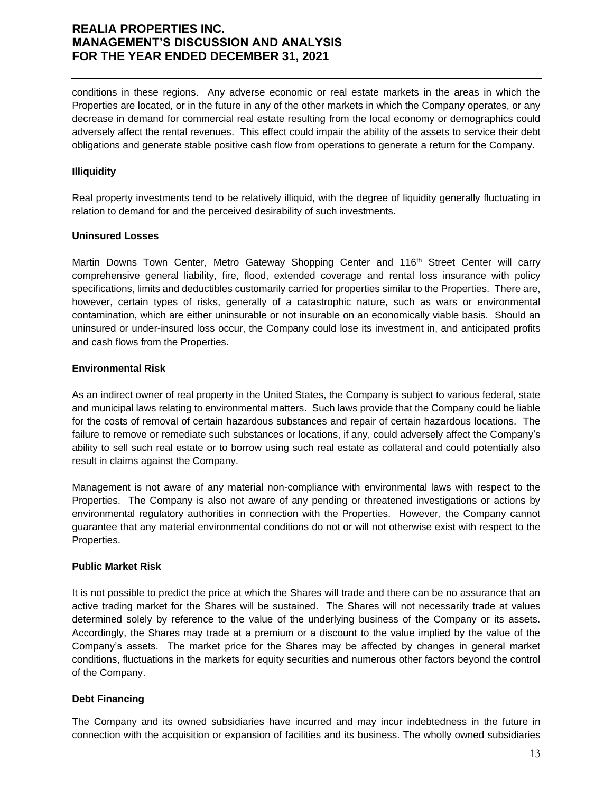conditions in these regions. Any adverse economic or real estate markets in the areas in which the Properties are located, or in the future in any of the other markets in which the Company operates, or any decrease in demand for commercial real estate resulting from the local economy or demographics could adversely affect the rental revenues. This effect could impair the ability of the assets to service their debt obligations and generate stable positive cash flow from operations to generate a return for the Company.

#### **Illiquidity**

Real property investments tend to be relatively illiquid, with the degree of liquidity generally fluctuating in relation to demand for and the perceived desirability of such investments.

#### **Uninsured Losses**

Martin Downs Town Center, Metro Gateway Shopping Center and 116<sup>th</sup> Street Center will carry comprehensive general liability, fire, flood, extended coverage and rental loss insurance with policy specifications, limits and deductibles customarily carried for properties similar to the Properties. There are, however, certain types of risks, generally of a catastrophic nature, such as wars or environmental contamination, which are either uninsurable or not insurable on an economically viable basis. Should an uninsured or under-insured loss occur, the Company could lose its investment in, and anticipated profits and cash flows from the Properties.

#### **Environmental Risk**

As an indirect owner of real property in the United States, the Company is subject to various federal, state and municipal laws relating to environmental matters. Such laws provide that the Company could be liable for the costs of removal of certain hazardous substances and repair of certain hazardous locations. The failure to remove or remediate such substances or locations, if any, could adversely affect the Company's ability to sell such real estate or to borrow using such real estate as collateral and could potentially also result in claims against the Company.

Management is not aware of any material non-compliance with environmental laws with respect to the Properties. The Company is also not aware of any pending or threatened investigations or actions by environmental regulatory authorities in connection with the Properties. However, the Company cannot guarantee that any material environmental conditions do not or will not otherwise exist with respect to the Properties.

#### **Public Market Risk**

It is not possible to predict the price at which the Shares will trade and there can be no assurance that an active trading market for the Shares will be sustained. The Shares will not necessarily trade at values determined solely by reference to the value of the underlying business of the Company or its assets. Accordingly, the Shares may trade at a premium or a discount to the value implied by the value of the Company's assets. The market price for the Shares may be affected by changes in general market conditions, fluctuations in the markets for equity securities and numerous other factors beyond the control of the Company.

### **Debt Financing**

The Company and its owned subsidiaries have incurred and may incur indebtedness in the future in connection with the acquisition or expansion of facilities and its business. The wholly owned subsidiaries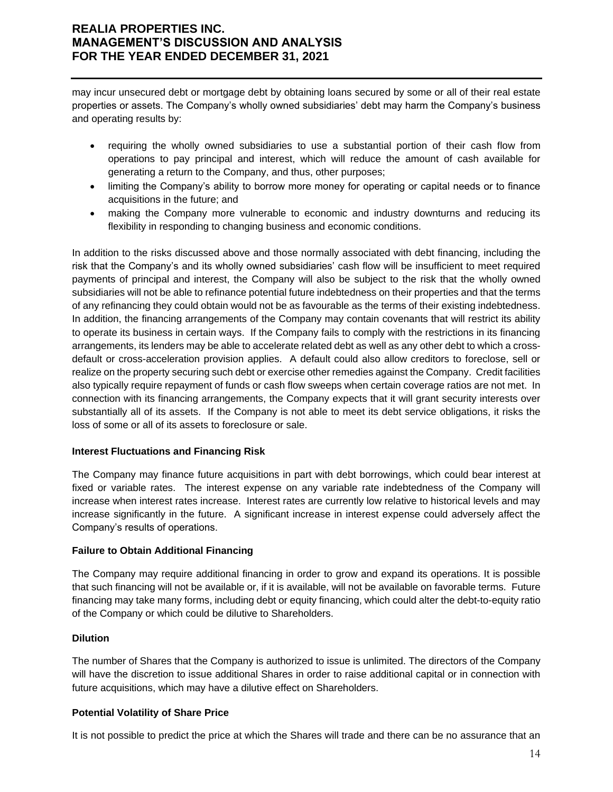may incur unsecured debt or mortgage debt by obtaining loans secured by some or all of their real estate properties or assets. The Company's wholly owned subsidiaries' debt may harm the Company's business and operating results by:

- requiring the wholly owned subsidiaries to use a substantial portion of their cash flow from operations to pay principal and interest, which will reduce the amount of cash available for generating a return to the Company, and thus, other purposes;
- limiting the Company's ability to borrow more money for operating or capital needs or to finance acquisitions in the future; and
- making the Company more vulnerable to economic and industry downturns and reducing its flexibility in responding to changing business and economic conditions.

In addition to the risks discussed above and those normally associated with debt financing, including the risk that the Company's and its wholly owned subsidiaries' cash flow will be insufficient to meet required payments of principal and interest, the Company will also be subject to the risk that the wholly owned subsidiaries will not be able to refinance potential future indebtedness on their properties and that the terms of any refinancing they could obtain would not be as favourable as the terms of their existing indebtedness. In addition, the financing arrangements of the Company may contain covenants that will restrict its ability to operate its business in certain ways. If the Company fails to comply with the restrictions in its financing arrangements, its lenders may be able to accelerate related debt as well as any other debt to which a crossdefault or cross-acceleration provision applies. A default could also allow creditors to foreclose, sell or realize on the property securing such debt or exercise other remedies against the Company. Credit facilities also typically require repayment of funds or cash flow sweeps when certain coverage ratios are not met. In connection with its financing arrangements, the Company expects that it will grant security interests over substantially all of its assets. If the Company is not able to meet its debt service obligations, it risks the loss of some or all of its assets to foreclosure or sale.

### **Interest Fluctuations and Financing Risk**

The Company may finance future acquisitions in part with debt borrowings, which could bear interest at fixed or variable rates. The interest expense on any variable rate indebtedness of the Company will increase when interest rates increase. Interest rates are currently low relative to historical levels and may increase significantly in the future. A significant increase in interest expense could adversely affect the Company's results of operations.

### **Failure to Obtain Additional Financing**

The Company may require additional financing in order to grow and expand its operations. It is possible that such financing will not be available or, if it is available, will not be available on favorable terms. Future financing may take many forms, including debt or equity financing, which could alter the debt-to-equity ratio of the Company or which could be dilutive to Shareholders.

### **Dilution**

The number of Shares that the Company is authorized to issue is unlimited. The directors of the Company will have the discretion to issue additional Shares in order to raise additional capital or in connection with future acquisitions, which may have a dilutive effect on Shareholders.

### **Potential Volatility of Share Price**

It is not possible to predict the price at which the Shares will trade and there can be no assurance that an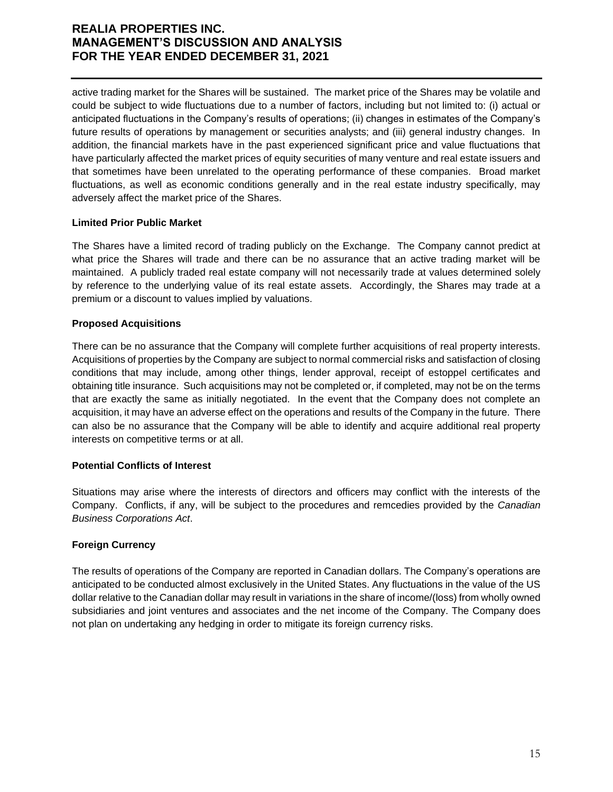active trading market for the Shares will be sustained. The market price of the Shares may be volatile and could be subject to wide fluctuations due to a number of factors, including but not limited to: (i) actual or anticipated fluctuations in the Company's results of operations; (ii) changes in estimates of the Company's future results of operations by management or securities analysts; and (iii) general industry changes. In addition, the financial markets have in the past experienced significant price and value fluctuations that have particularly affected the market prices of equity securities of many venture and real estate issuers and that sometimes have been unrelated to the operating performance of these companies. Broad market fluctuations, as well as economic conditions generally and in the real estate industry specifically, may adversely affect the market price of the Shares.

### **Limited Prior Public Market**

The Shares have a limited record of trading publicly on the Exchange. The Company cannot predict at what price the Shares will trade and there can be no assurance that an active trading market will be maintained. A publicly traded real estate company will not necessarily trade at values determined solely by reference to the underlying value of its real estate assets. Accordingly, the Shares may trade at a premium or a discount to values implied by valuations.

#### **Proposed Acquisitions**

There can be no assurance that the Company will complete further acquisitions of real property interests. Acquisitions of properties by the Company are subject to normal commercial risks and satisfaction of closing conditions that may include, among other things, lender approval, receipt of estoppel certificates and obtaining title insurance. Such acquisitions may not be completed or, if completed, may not be on the terms that are exactly the same as initially negotiated. In the event that the Company does not complete an acquisition, it may have an adverse effect on the operations and results of the Company in the future. There can also be no assurance that the Company will be able to identify and acquire additional real property interests on competitive terms or at all.

### **Potential Conflicts of Interest**

Situations may arise where the interests of directors and officers may conflict with the interests of the Company. Conflicts, if any, will be subject to the procedures and remcedies provided by the *Canadian Business Corporations Act*.

### **Foreign Currency**

The results of operations of the Company are reported in Canadian dollars. The Company's operations are anticipated to be conducted almost exclusively in the United States. Any fluctuations in the value of the US dollar relative to the Canadian dollar may result in variations in the share of income/(loss) from wholly owned subsidiaries and joint ventures and associates and the net income of the Company. The Company does not plan on undertaking any hedging in order to mitigate its foreign currency risks.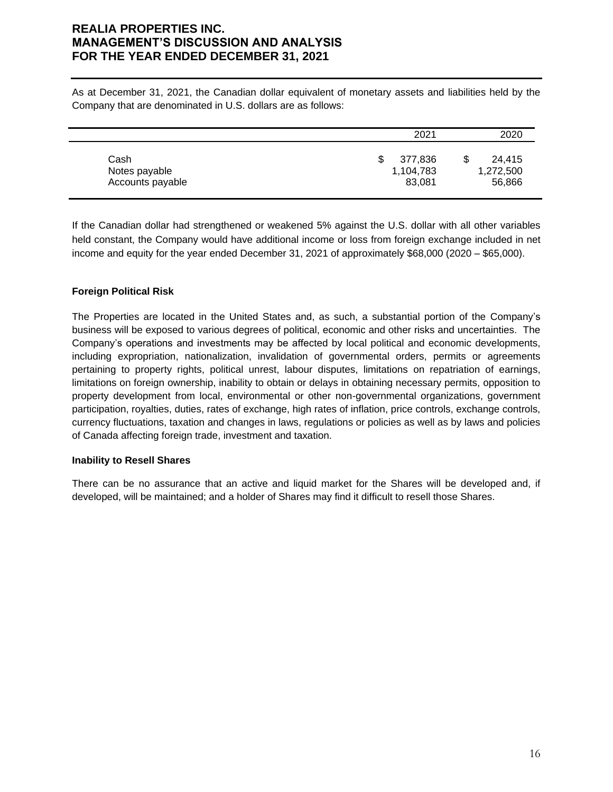As at December 31, 2021, the Canadian dollar equivalent of monetary assets and liabilities held by the Company that are denominated in U.S. dollars are as follows:

|                  | 2021      | 2020      |
|------------------|-----------|-----------|
| Cash             | 377,836   | 24,415    |
| Notes payable    | 1,104,783 | 1,272,500 |
| Accounts payable | 83,081    | 56,866    |

If the Canadian dollar had strengthened or weakened 5% against the U.S. dollar with all other variables held constant, the Company would have additional income or loss from foreign exchange included in net income and equity for the year ended December 31, 2021 of approximately \$68,000 (2020 – \$65,000).

### **Foreign Political Risk**

The Properties are located in the United States and, as such, a substantial portion of the Company's business will be exposed to various degrees of political, economic and other risks and uncertainties. The Company's operations and investments may be affected by local political and economic developments, including expropriation, nationalization, invalidation of governmental orders, permits or agreements pertaining to property rights, political unrest, labour disputes, limitations on repatriation of earnings, limitations on foreign ownership, inability to obtain or delays in obtaining necessary permits, opposition to property development from local, environmental or other non-governmental organizations, government participation, royalties, duties, rates of exchange, high rates of inflation, price controls, exchange controls, currency fluctuations, taxation and changes in laws, regulations or policies as well as by laws and policies of Canada affecting foreign trade, investment and taxation.

### **Inability to Resell Shares**

There can be no assurance that an active and liquid market for the Shares will be developed and, if developed, will be maintained; and a holder of Shares may find it difficult to resell those Shares.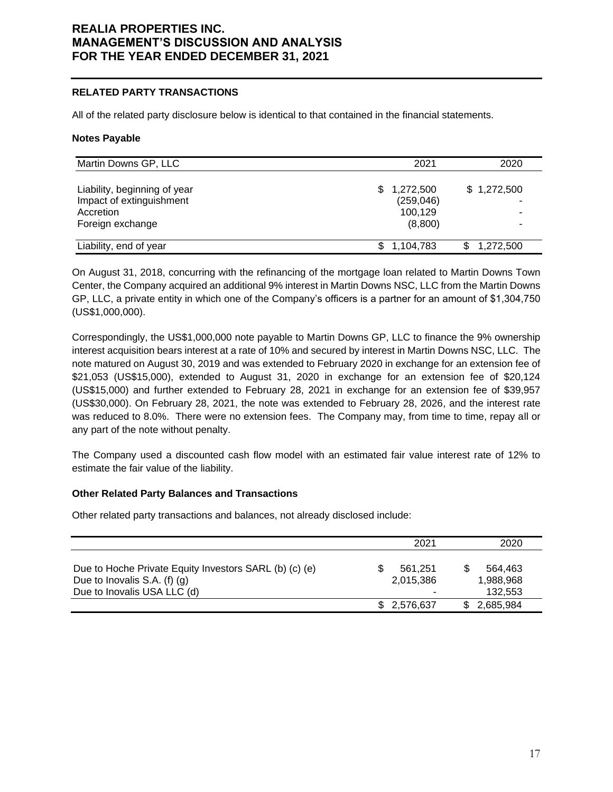#### **RELATED PARTY TRANSACTIONS**

All of the related party disclosure below is identical to that contained in the financial statements.

#### **Notes Payable**

| Martin Downs GP, LLC                  | 2021                  | 2020        |
|---------------------------------------|-----------------------|-------------|
| Liability, beginning of year          | \$1,272,500           | \$1,272,500 |
| Impact of extinguishment<br>Accretion | (259, 046)<br>100,129 |             |
| Foreign exchange                      | (8,800)               |             |
| Liability, end of year                | \$1,104,783           | 1,272,500   |

On August 31, 2018, concurring with the refinancing of the mortgage loan related to Martin Downs Town Center, the Company acquired an additional 9% interest in Martin Downs NSC, LLC from the Martin Downs GP, LLC, a private entity in which one of the Company's officers is a partner for an amount of \$1,304,750 (US\$1,000,000).

Correspondingly, the US\$1,000,000 note payable to Martin Downs GP, LLC to finance the 9% ownership interest acquisition bears interest at a rate of 10% and secured by interest in Martin Downs NSC, LLC. The note matured on August 30, 2019 and was extended to February 2020 in exchange for an extension fee of \$21,053 (US\$15,000), extended to August 31, 2020 in exchange for an extension fee of \$20,124 (US\$15,000) and further extended to February 28, 2021 in exchange for an extension fee of \$39,957 (US\$30,000). On February 28, 2021, the note was extended to February 28, 2026, and the interest rate was reduced to 8.0%. There were no extension fees. The Company may, from time to time, repay all or any part of the note without penalty.

The Company used a discounted cash flow model with an estimated fair value interest rate of 12% to estimate the fair value of the liability.

#### **Other Related Party Balances and Transactions**

Other related party transactions and balances, not already disclosed include:

|                                                                                          | 2021                 |   | 2020                 |
|------------------------------------------------------------------------------------------|----------------------|---|----------------------|
| Due to Hoche Private Equity Investors SARL (b) (c) (e)<br>Due to Inovalis S.A. (f) $(g)$ | 561.251<br>2,015,386 |   | 564.463<br>1,988,968 |
| Due to Inovalis USA LLC (d)                                                              |                      | ۰ | 132,553              |
|                                                                                          | \$2,576,637          |   | 2,685,984            |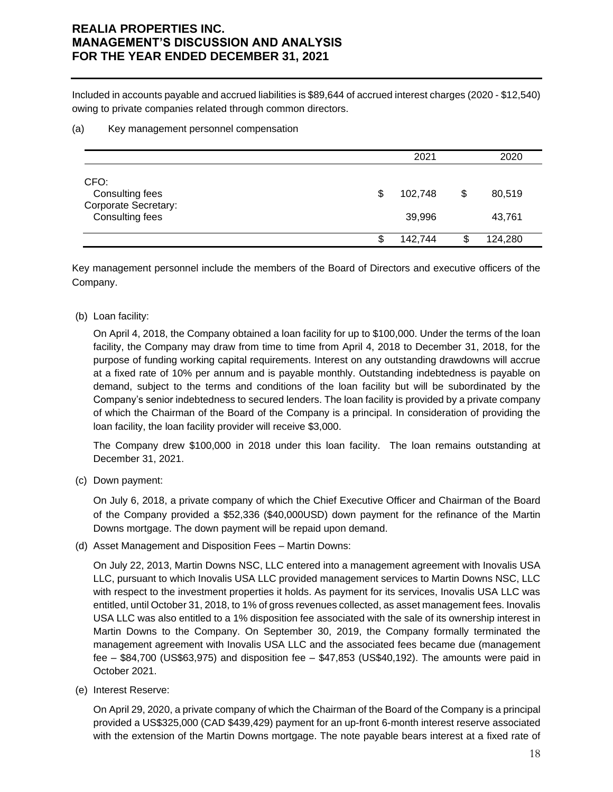Included in accounts payable and accrued liabilities is \$89,644 of accrued interest charges (2020 - \$12,540) owing to private companies related through common directors.

#### (a) Key management personnel compensation

|                                                                           | 2021                    | 2020                   |
|---------------------------------------------------------------------------|-------------------------|------------------------|
| CFO:<br>Consulting fees<br><b>Corporate Secretary:</b><br>Consulting fees | \$<br>102,748<br>39,996 | \$<br>80,519<br>43,761 |
|                                                                           | \$<br>142,744           | \$<br>124,280          |

Key management personnel include the members of the Board of Directors and executive officers of the Company.

### (b) Loan facility:

On April 4, 2018, the Company obtained a loan facility for up to \$100,000. Under the terms of the loan facility, the Company may draw from time to time from April 4, 2018 to December 31, 2018, for the purpose of funding working capital requirements. Interest on any outstanding drawdowns will accrue at a fixed rate of 10% per annum and is payable monthly. Outstanding indebtedness is payable on demand, subject to the terms and conditions of the loan facility but will be subordinated by the Company's senior indebtedness to secured lenders. The loan facility is provided by a private company of which the Chairman of the Board of the Company is a principal. In consideration of providing the loan facility, the loan facility provider will receive \$3,000.

The Company drew \$100,000 in 2018 under this loan facility. The loan remains outstanding at December 31, 2021.

(c) Down payment:

On July 6, 2018, a private company of which the Chief Executive Officer and Chairman of the Board of the Company provided a \$52,336 (\$40,000USD) down payment for the refinance of the Martin Downs mortgage. The down payment will be repaid upon demand.

(d) Asset Management and Disposition Fees – Martin Downs:

On July 22, 2013, Martin Downs NSC, LLC entered into a management agreement with Inovalis USA LLC, pursuant to which Inovalis USA LLC provided management services to Martin Downs NSC, LLC with respect to the investment properties it holds. As payment for its services, Inovalis USA LLC was entitled, until October 31, 2018, to 1% of gross revenues collected, as asset management fees. Inovalis USA LLC was also entitled to a 1% disposition fee associated with the sale of its ownership interest in Martin Downs to the Company. On September 30, 2019, the Company formally terminated the management agreement with Inovalis USA LLC and the associated fees became due (management fee – \$84,700 (US\$63,975) and disposition fee – \$47,853 (US\$40,192). The amounts were paid in October 2021.

(e) Interest Reserve:

On April 29, 2020, a private company of which the Chairman of the Board of the Company is a principal provided a US\$325,000 (CAD \$439,429) payment for an up-front 6-month interest reserve associated with the extension of the Martin Downs mortgage. The note payable bears interest at a fixed rate of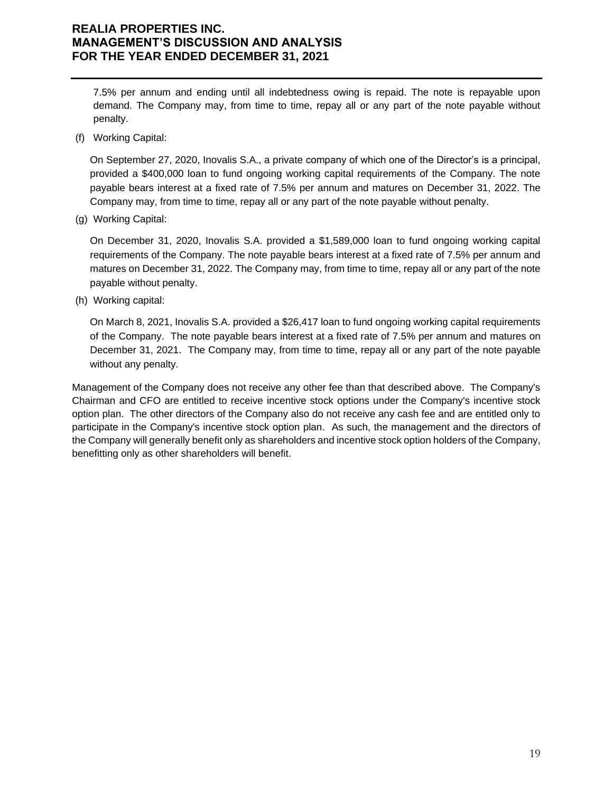7.5% per annum and ending until all indebtedness owing is repaid. The note is repayable upon demand. The Company may, from time to time, repay all or any part of the note payable without penalty.

(f) Working Capital:

On September 27, 2020, Inovalis S.A., a private company of which one of the Director's is a principal, provided a \$400,000 loan to fund ongoing working capital requirements of the Company. The note payable bears interest at a fixed rate of 7.5% per annum and matures on December 31, 2022. The Company may, from time to time, repay all or any part of the note payable without penalty.

(g) Working Capital:

On December 31, 2020, Inovalis S.A. provided a \$1,589,000 loan to fund ongoing working capital requirements of the Company. The note payable bears interest at a fixed rate of 7.5% per annum and matures on December 31, 2022. The Company may, from time to time, repay all or any part of the note payable without penalty.

(h) Working capital:

On March 8, 2021, Inovalis S.A. provided a \$26,417 loan to fund ongoing working capital requirements of the Company. The note payable bears interest at a fixed rate of 7.5% per annum and matures on December 31, 2021. The Company may, from time to time, repay all or any part of the note payable without any penalty.

Management of the Company does not receive any other fee than that described above. The Company's Chairman and CFO are entitled to receive incentive stock options under the Company's incentive stock option plan. The other directors of the Company also do not receive any cash fee and are entitled only to participate in the Company's incentive stock option plan. As such, the management and the directors of the Company will generally benefit only as shareholders and incentive stock option holders of the Company, benefitting only as other shareholders will benefit.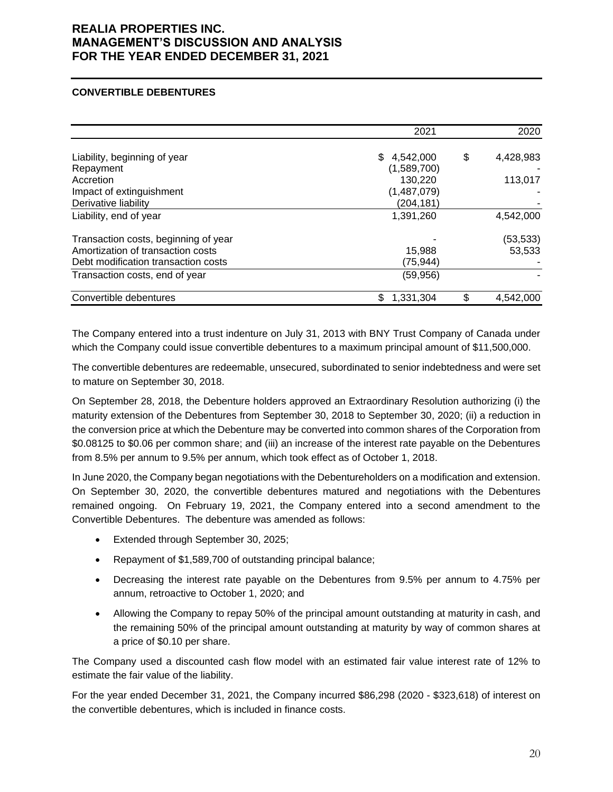#### **CONVERTIBLE DEBENTURES**

|                                      | 2021        | 2020            |
|--------------------------------------|-------------|-----------------|
| Liability, beginning of year         | \$4,542,000 | \$<br>4,428,983 |
| Repayment                            | (1,589,700) |                 |
| Accretion                            | 130,220     | 113,017         |
| Impact of extinguishment             | (1,487,079) |                 |
| Derivative liability                 | (204, 181)  |                 |
| Liability, end of year               | 1,391,260   | 4,542,000       |
| Transaction costs, beginning of year |             | (53,533)        |
| Amortization of transaction costs    | 15,988      | 53,533          |
| Debt modification transaction costs  | (75, 944)   |                 |
| Transaction costs, end of year       | (59, 956)   |                 |
| Convertible debentures               | 1,331,304   | \$<br>4,542,000 |

The Company entered into a trust indenture on July 31, 2013 with BNY Trust Company of Canada under which the Company could issue convertible debentures to a maximum principal amount of \$11,500,000.

The convertible debentures are redeemable, unsecured, subordinated to senior indebtedness and were set to mature on September 30, 2018.

On September 28, 2018, the Debenture holders approved an Extraordinary Resolution authorizing (i) the maturity extension of the Debentures from September 30, 2018 to September 30, 2020; (ii) a reduction in the conversion price at which the Debenture may be converted into common shares of the Corporation from \$0.08125 to \$0.06 per common share; and (iii) an increase of the interest rate payable on the Debentures from 8.5% per annum to 9.5% per annum, which took effect as of October 1, 2018.

In June 2020, the Company began negotiations with the Debentureholders on a modification and extension. On September 30, 2020, the convertible debentures matured and negotiations with the Debentures remained ongoing. On February 19, 2021, the Company entered into a second amendment to the Convertible Debentures. The debenture was amended as follows:

- Extended through September 30, 2025;
- Repayment of \$1,589,700 of outstanding principal balance;
- Decreasing the interest rate payable on the Debentures from 9.5% per annum to 4.75% per annum, retroactive to October 1, 2020; and
- Allowing the Company to repay 50% of the principal amount outstanding at maturity in cash, and the remaining 50% of the principal amount outstanding at maturity by way of common shares at a price of \$0.10 per share.

The Company used a discounted cash flow model with an estimated fair value interest rate of 12% to estimate the fair value of the liability.

For the year ended December 31, 2021, the Company incurred \$86,298 (2020 - \$323,618) of interest on the convertible debentures, which is included in finance costs.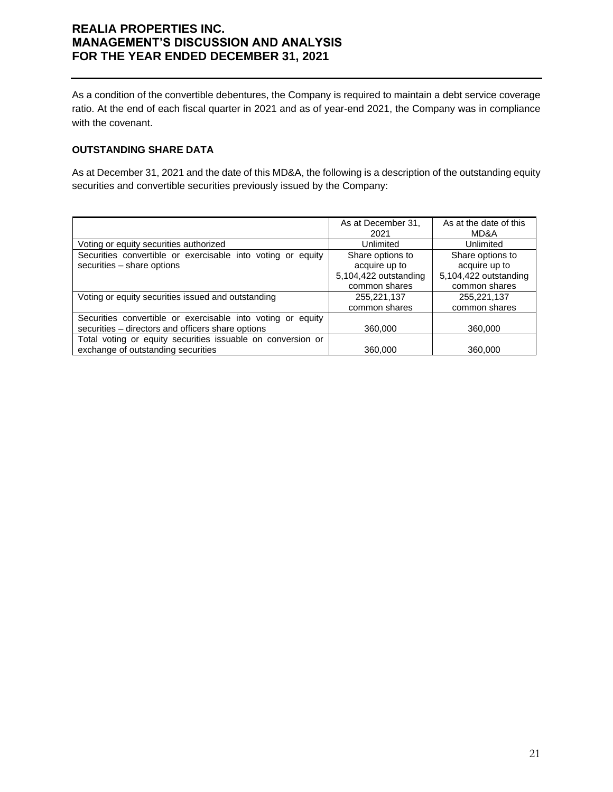As a condition of the convertible debentures, the Company is required to maintain a debt service coverage ratio. At the end of each fiscal quarter in 2021 and as of year-end 2021, the Company was in compliance with the covenant.

### **OUTSTANDING SHARE DATA**

As at December 31, 2021 and the date of this MD&A, the following is a description of the outstanding equity securities and convertible securities previously issued by the Company:

|                                                                | As at December 31,    | As at the date of this |
|----------------------------------------------------------------|-----------------------|------------------------|
|                                                                | 2021                  | MD&A                   |
| Voting or equity securities authorized                         | Unlimited             | Unlimited              |
| Securities convertible or exercisable into voting or equity    | Share options to      | Share options to       |
| securities - share options                                     | acquire up to         | acquire up to          |
|                                                                | 5,104,422 outstanding | 5,104,422 outstanding  |
|                                                                | common shares         | common shares          |
| Voting or equity securities issued and outstanding             | 255,221,137           | 255,221,137            |
|                                                                | common shares         | common shares          |
| Securities convertible or exercisable into voting or<br>equity |                       |                        |
| securities - directors and officers share options              | 360,000               | 360,000                |
| Total voting or equity securities issuable on conversion or    |                       |                        |
| exchange of outstanding securities                             | 360,000               | 360,000                |